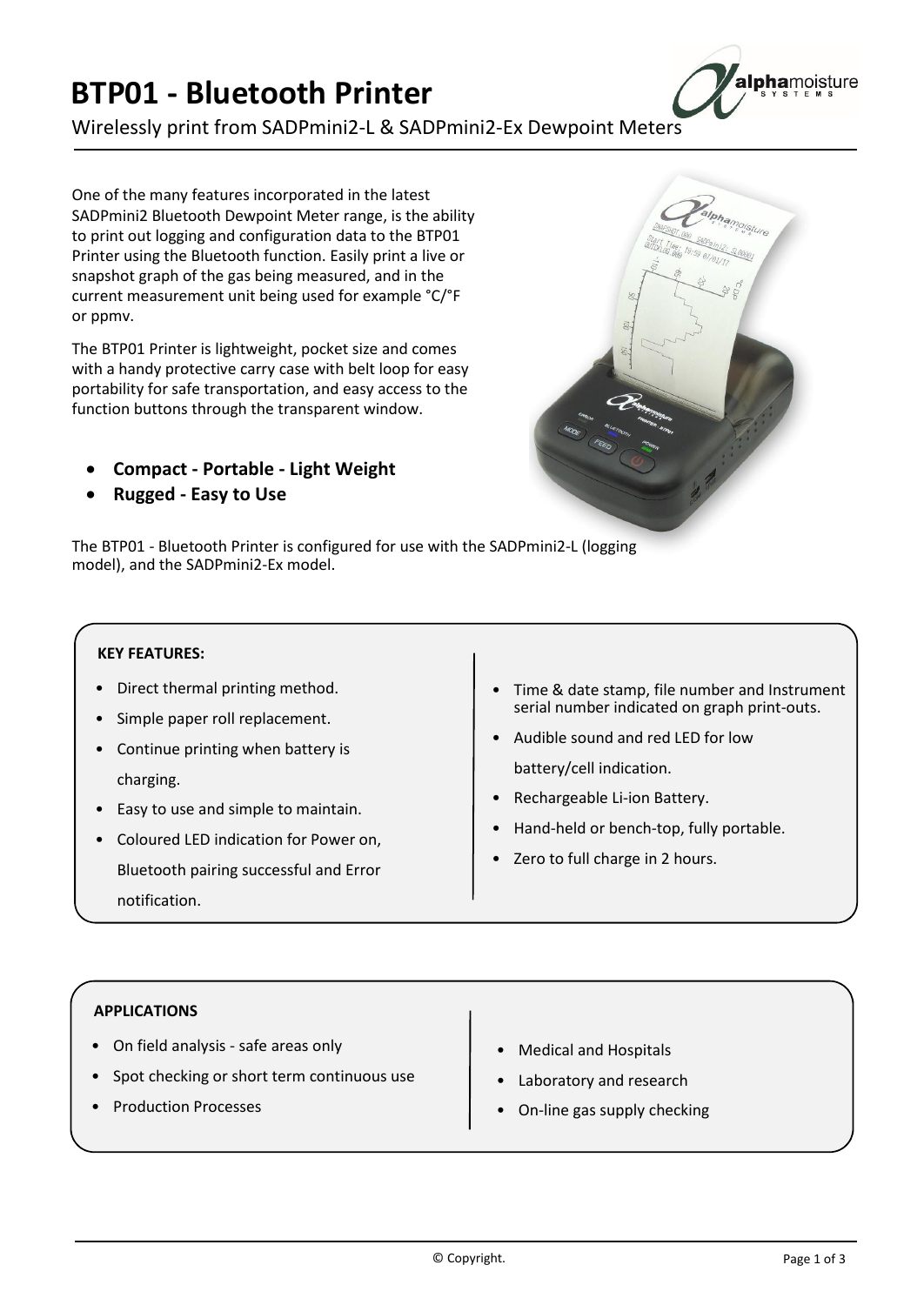## **- Bluetooth Printer PO1 - Bluetooth Printer**<br>elessly print from SADPmini2-L & SADPmin<br>of the many features incorporated in the latest **DTDO** to

**Bluetooth Printer<br>
Print from SADPmini2-L & SADPmini2-Ex Dewpoint Meters** snapshot

**L - Bluetooth Printer**<br>
y print from SADPmini2-L & SADPmini2-Ex I<br>
many features incorporated in the latest<br>
Bluetooth Dewpoint Meter range, is the ability FOI - DIUCLOULIT FITTLET<br>
irelessly print from SADPmini2-L & SADPmini2-Ex<br>
e of the many features incorporated in the latest<br>
DPmini2 Bluetooth Dewpoint Meter range, is the ability<br>
print out logging and configuration data Wirelessly print from SADPmini2-L & SADPmini2-E<br>
One of the many features incorporated in the latest<br>
SADPmini2 Bluetooth Dewpoint Meter range, is the ability<br>
to print out logging and configuration data to the BTP01<br>
Prin e many features incorporated in the latest<br>2 Bluetooth Dewpoint Meter range, is the ability<br>ut logging and configuration data to the BTP01<br>ing the Bluetooth function. Easily print a live or<br>graph of the gas being measured, the many features incorporated in the latest<br>ni2 Bluetooth Dewpoint Meter range, is the ability<br>out logging and configuration data to the BTP01<br>using the Bluetooth function. Easily print a live or<br>ort graph of the gas bein One of the many features incorporated in the latest One of the max<br>SADPmini2 BI<br>to print out Ic<br>Printer using<br>snapshot grap<br>current meas Pmini2 Bluetooth Dewpoint Meter range, is the ability<br>rint out logging and configuration data to the BTP01<br>ter using the Bluetooth function. Easily print a live or<br>shot graph of the gas being measured, and in the<br>ent measu to print out logging and configuration data to the BTP01 int out logging and configuration data to the BTP01<br>er using the Bluetooth function. Easily print a live or<br>shot graph of the gas being measured, and in the<br>nt measurement unit being used for example °C/°F<br>mw.<br>3TP01 Printe Printer using the Bluetooth function. Easily print a live or ng the Bluetooth function. Easily print a live or<br>raph of the gas being measured, and in the<br>asurement unit being used for example °C/°F<br>Printer is lightweight, pocket size and comes<br>dy protective carry case with belt loop snapsho

current measurement unit being used for example °C/°F<br>or ppmv.<br>The BTP01 Printer is lightweight, pocket size and comes<br>with a handy protective carry case with belt loop for easy<br>portability for safe transportation, and eas tun) mv.<br> **Compact Profension CPO1** Printer is lightweight, pocket size and come<br>
handy protective carry case with belt loop for e<br>
bility for safe transportation, and easy access to to<br>
on buttons through the transparent windo FP01 Printer is lightweight, pocket si<br>handy protective carry case with be<br>pility for safe transportation, and eas<br>on buttons through the transparent<br>**Compact - Portable - Light We**<br>Rugged - Easy to Use

- 
- 

BTP01 - Bluetooth Printer is configured for use with the SADPmini2-L (logging

**ompact - Portable - Light Wei<br>1gged - Easy to Use<br>01 - Bluetooth Printer is configured<br>and the SADPmini2-Ex model.** model), and the SADPmini2-Ex model. DITOT - Bidetooth Time Is comigued<br>del), and the SADPmini2-Ex model.<br>**KEY FEATURES:**<br>• Direct thermal printing method. ï01 - Bluetooth P<br>and the SADPmi<br>**FEATURES:** 

### **KEY FEATURES:**

- Simple paper roll replacement.<br>
Simple paper roll replacement. **Y FEATURES:**<br>Direct thermal printing method.<br>Simple paper roll replacement.<br>Continue printing when battery is
- 
- Direct therma<br>• Simple paper<br>• Continue prin<br>charging. ■ Direct thermal printing method.<br>
■ Simple paper roll replacement.<br>
■ Continue printing when battery is<br>
<br>
charging.<br>
■ Easy to use and simple to maintain. Simple paper roll replacement.<br>Continue printing when battery is<br>charging.<br>Easy to use and simple to maintain.<br>Coloured LED indication for Power on. charging.
- 
- printing when battery is<br>
reand simple to maintain.<br>
ED indication for Power on,<br>
pairing successful and Error ï**Bluetooth pairing successful and Error**
- Time & date stamp, file number and Instrument number indicated on graph print-outs.<br>
Time & date stamp, file number and Instrument<br>
serial number indicated on graph print-outs. Time & date stamp, file number and Instrument<br>Serial number indicated on graph print-outs.<br>Audible sound and red LED for low
- Time & date stamp, file numiserial number indicated on<br>Audible sound and red LED<br>battery/cell indication. Time & date stamp, file number a<br>serial number indicated on graph<br>Audible sound and red LED for lo<br>battery/cell indication.<br>Rechargeable Li-ion Battery. serial number indicated on graph print-outs.<br>Audible sound and red LED for low<br>battery/cell indication.<br>Rechargeable Li-ion Battery.
- 
- Hand-held or bench-top, fully portable.<br>Zero to full charge in 2 hours.
- 

- **ON FEMALATIONS**<br> **On field analysis safe areas only**
- Supplications<br>
Spot checking or short term continuous use **APPLICATIONS**<br>• On field analysis - safe areas only<br>• Spot checking or short term continuous use<br>• Production Processes
- 
- **Medical and Hospitals in Section**<br>• Medical and Hospitals Medical and Hospitals<br>Laboratory and research
- **Medical and Hospitals<br>Laboratory and research<br>On-line gas supply checking**
- 

ï

©

<sup>ï</sup>

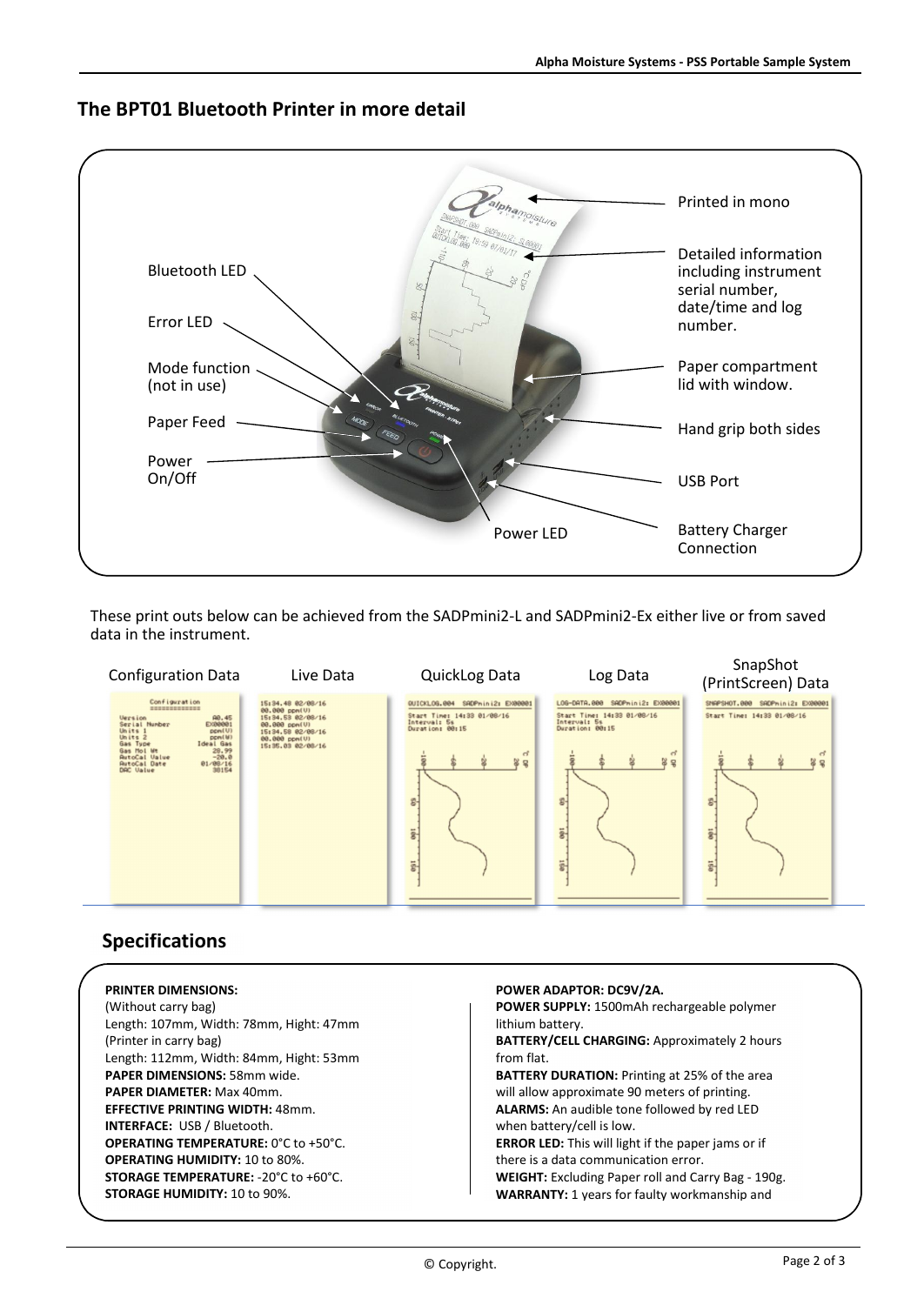

# **BPT01 Bluetooth Printer in more detail**



### peci

| <b>PRINTER DIMENSIONS:</b>                  | POWER ADAPTOR: DC9V/2A.                              |  |  |
|---------------------------------------------|------------------------------------------------------|--|--|
| (Without carry bag)                         | POWER SUPPLY: 1500mAh rechargeable polymer           |  |  |
| Length: 107mm, Width: 78mm, Hight: 47mm     | lithium battery.                                     |  |  |
| (Printer in carry bag)                      | BATTERY/CELL CHARGING: Approximately 2 hours         |  |  |
| Length: 112mm, Width: 84mm, Hight: 53mm     | from flat.                                           |  |  |
| PAPER DIMENSIONS: 58mm wide.                | <b>BATTERY DURATION:</b> Printing at 25% of the area |  |  |
| <b>PAPER DIAMETER: Max 40mm.</b>            | will allow approximate 90 meters of printing.        |  |  |
| <b>EFFECTIVE PRINTING WIDTH: 48mm.</b>      | ALARMS: An audible tone followed by red LED          |  |  |
| <b>INTERFACE: USB / Bluetooth.</b>          | when battery/cell is low.                            |  |  |
| <b>OPERATING TEMPERATURE: 0°C to +50°C.</b> | ERROR LED: This will light if the paper jams or if   |  |  |
| <b>OPERATING HUMIDITY: 10 to 80%.</b>       | there is a data communication error.                 |  |  |
| <b>STORAGE TEMPERATURE: -20°C to +60°C.</b> | WEIGHT: Excluding Paper roll and Carry Bag - 190g.   |  |  |
| <b>STORAGE HUMIDITY: 10 to 90%.</b>         | <b>WARRANTY: 1 years for faulty workmanship and</b>  |  |  |